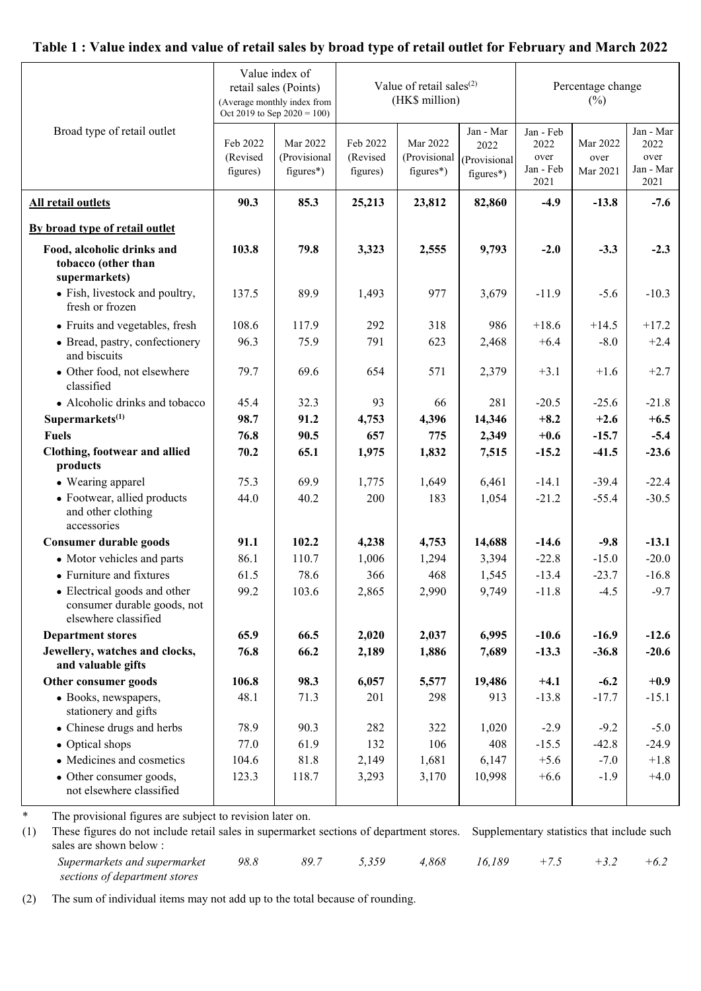## **Table 1 : Value index and value of retail sales by broad type of retail outlet for February and March 2022**

|                                                                                     | Value index of<br>retail sales (Points)<br>(Average monthly index from<br>Oct 2019 to Sep 2020 = 100) |                                         |                                  | Value of retail sales $(2)$<br>(HK\$ million) |                                                | Percentage change<br>$(\%)$                    |                              |                                                |
|-------------------------------------------------------------------------------------|-------------------------------------------------------------------------------------------------------|-----------------------------------------|----------------------------------|-----------------------------------------------|------------------------------------------------|------------------------------------------------|------------------------------|------------------------------------------------|
| Broad type of retail outlet                                                         | Feb 2022<br>(Revised<br>figures)                                                                      | Mar 2022<br>(Provisional<br>$figures*)$ | Feb 2022<br>(Revised<br>figures) | Mar 2022<br>(Provisional<br>$figures*)$       | Jan - Mar<br>2022<br>(Provisional<br>figures*) | Jan - Feb<br>2022<br>over<br>Jan - Feb<br>2021 | Mar 2022<br>over<br>Mar 2021 | Jan - Mar<br>2022<br>over<br>Jan - Mar<br>2021 |
| All retail outlets                                                                  | 90.3                                                                                                  | 85.3                                    | 25,213                           | 23,812                                        | 82,860                                         | $-4.9$                                         | $-13.8$                      | $-7.6$                                         |
| By broad type of retail outlet                                                      |                                                                                                       |                                         |                                  |                                               |                                                |                                                |                              |                                                |
| Food, alcoholic drinks and<br>tobacco (other than<br>supermarkets)                  | 103.8                                                                                                 | 79.8                                    | 3,323                            | 2,555                                         | 9,793                                          | $-2.0$                                         | $-3.3$                       | $-2.3$                                         |
| • Fish, livestock and poultry,<br>fresh or frozen                                   | 137.5                                                                                                 | 89.9                                    | 1,493                            | 977                                           | 3,679                                          | $-11.9$                                        | $-5.6$                       | $-10.3$                                        |
| • Fruits and vegetables, fresh                                                      | 108.6                                                                                                 | 117.9                                   | 292                              | 318                                           | 986                                            | $+18.6$                                        | $+14.5$                      | $+17.2$                                        |
| • Bread, pastry, confectionery<br>and biscuits                                      | 96.3                                                                                                  | 75.9                                    | 791                              | 623                                           | 2,468                                          | $+6.4$                                         | $-8.0$                       | $+2.4$                                         |
| • Other food, not elsewhere<br>classified                                           | 79.7                                                                                                  | 69.6                                    | 654                              | 571                                           | 2,379                                          | $+3.1$                                         | $+1.6$                       | $+2.7$                                         |
| • Alcoholic drinks and tobacco                                                      | 45.4                                                                                                  | 32.3                                    | 93                               | 66                                            | 281                                            | $-20.5$                                        | $-25.6$                      | $-21.8$                                        |
| Supermarkets $(1)$                                                                  | 98.7                                                                                                  | 91.2                                    | 4,753                            | 4,396                                         | 14,346                                         | $+8.2$                                         | $+2.6$                       | $+6.5$                                         |
| <b>Fuels</b>                                                                        | 76.8                                                                                                  | 90.5                                    | 657                              | 775                                           | 2,349                                          | $+0.6$                                         | $-15.7$                      | $-5.4$                                         |
| Clothing, footwear and allied<br>products                                           | 70.2                                                                                                  | 65.1                                    | 1,975                            | 1,832                                         | 7,515                                          | $-15.2$                                        | $-41.5$                      | $-23.6$                                        |
| • Wearing apparel                                                                   | 75.3                                                                                                  | 69.9                                    | 1,775                            | 1,649                                         | 6,461                                          | $-14.1$                                        | $-39.4$                      | $-22.4$                                        |
| • Footwear, allied products<br>and other clothing<br>accessories                    | 44.0                                                                                                  | 40.2                                    | 200                              | 183                                           | 1,054                                          | $-21.2$                                        | $-55.4$                      | $-30.5$                                        |
| <b>Consumer durable goods</b>                                                       | 91.1                                                                                                  | 102.2                                   | 4,238                            | 4,753                                         | 14,688                                         | $-14.6$                                        | $-9.8$                       | $-13.1$                                        |
| • Motor vehicles and parts                                                          | 86.1                                                                                                  | 110.7                                   | 1,006                            | 1,294                                         | 3,394                                          | $-22.8$                                        | $-15.0$                      | $-20.0$                                        |
| • Furniture and fixtures                                                            | 61.5                                                                                                  | 78.6                                    | 366                              | 468                                           | 1,545                                          | $-13.4$                                        | $-23.7$                      | $-16.8$                                        |
| • Electrical goods and other<br>consumer durable goods, not<br>elsewhere classified | 99.2                                                                                                  | 103.6                                   | 2,865                            | 2,990                                         | 9,749                                          | $-11.8$                                        | $-4.5$                       | $-9.7$                                         |
| <b>Department stores</b>                                                            | 65.9                                                                                                  | 66.5                                    | 2,020                            | 2,037                                         | 6,995                                          | $-10.6$                                        | $-16.9$                      | $-12.6$                                        |
| Jewellery, watches and clocks,<br>and valuable gifts                                | 76.8                                                                                                  | 66.2                                    | 2,189                            | 1,886                                         | 7,689                                          | $-13.3$                                        | $-36.8$                      | $-20.6$                                        |
| Other consumer goods                                                                | 106.8                                                                                                 | 98.3                                    | 6,057                            | 5,577                                         | 19,486                                         | $+4.1$                                         | $-6.2$                       | $+0.9$                                         |
| · Books, newspapers,<br>stationery and gifts                                        | 48.1                                                                                                  | 71.3                                    | 201                              | 298                                           | 913                                            | $-13.8$                                        | $-17.7$                      | $-15.1$                                        |
| • Chinese drugs and herbs                                                           | 78.9                                                                                                  | 90.3                                    | 282                              | 322                                           | 1,020                                          | $-2.9$                                         | $-9.2$                       | $-5.0$                                         |
| • Optical shops                                                                     | 77.0                                                                                                  | 61.9                                    | 132                              | 106                                           | 408                                            | $-15.5$                                        | $-42.8$                      | $-24.9$                                        |
| • Medicines and cosmetics                                                           | 104.6                                                                                                 | 81.8                                    | 2,149                            | 1,681                                         | 6,147                                          | $+5.6$                                         | $-7.0$                       | $+1.8$                                         |
| • Other consumer goods,<br>not elsewhere classified                                 | 123.3                                                                                                 | 118.7                                   | 3,293                            | 3,170                                         | 10,998                                         | $+6.6$                                         | $-1.9$                       | $+4.0$                                         |

\* The provisional figures are subject to revision later on.

(1) These figures do not include retail sales in supermarket sections of department stores. Supplementary statistics that include such sales are shown below :

*Supermarkets and supermarket sections of department stores 98.8 89.7 5,359 4,868 16,189 +7.5 +3.2 +6.2* 

(2) The sum of individual items may not add up to the total because of rounding.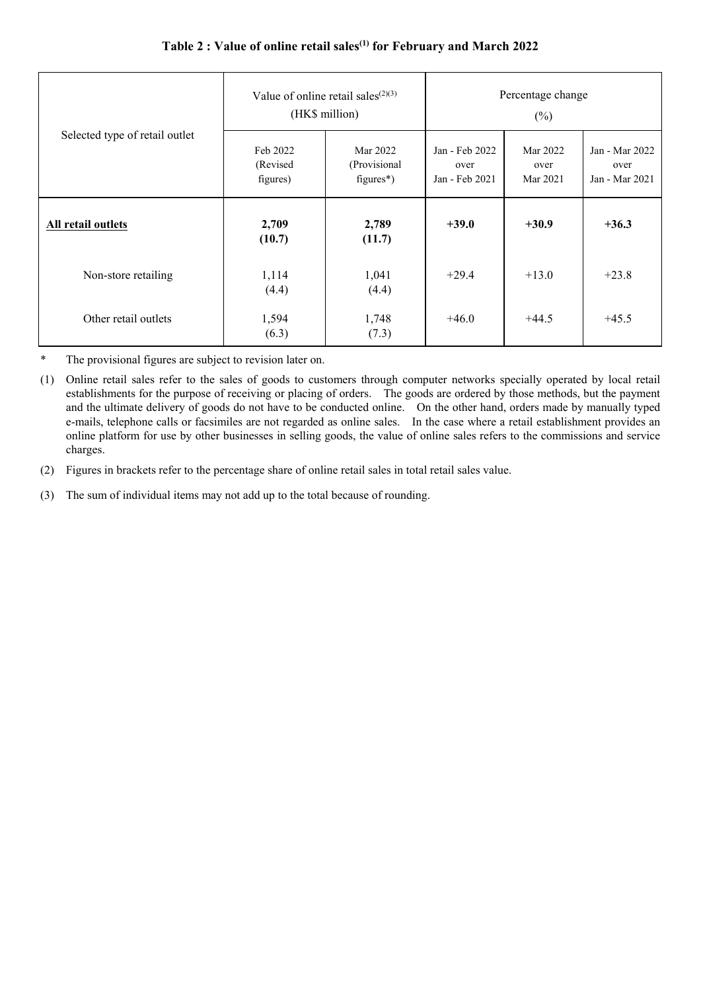| Selected type of retail outlet |                                   | Value of online retail sales <sup><math>(2)(3)</math></sup><br>(HK\$ million) | Percentage change<br>$(\%)$              |                              |                                          |
|--------------------------------|-----------------------------------|-------------------------------------------------------------------------------|------------------------------------------|------------------------------|------------------------------------------|
|                                | Feb 2022<br>(Revised)<br>figures) | Mar 2022<br>(Provisional<br>$figures*)$                                       | Jan - Feb 2022<br>over<br>Jan - Feb 2021 | Mar 2022<br>over<br>Mar 2021 | Jan - Mar 2022<br>over<br>Jan - Mar 2021 |
| <b>All retail outlets</b>      | 2,709<br>(10.7)                   | 2,789<br>(11.7)                                                               | $+39.0$                                  | $+30.9$                      | $+36.3$                                  |
| Non-store retailing            | 1,114<br>(4.4)                    | 1,041<br>(4.4)                                                                | $+29.4$                                  | $+13.0$                      | $+23.8$                                  |
| Other retail outlets           | 1,594<br>(6.3)                    | 1,748<br>(7.3)                                                                | $+46.0$                                  | $+44.5$                      | $+45.5$                                  |

## **Table 2 : Value of online retail sales(1) for February and March 2022**

\* The provisional figures are subject to revision later on.

(1) Online retail sales refer to the sales of goods to customers through computer networks specially operated by local retail establishments for the purpose of receiving or placing of orders. The goods are ordered by those methods, but the payment and the ultimate delivery of goods do not have to be conducted online. On the other hand, orders made by manually typed e-mails, telephone calls or facsimiles are not regarded as online sales. In the case where a retail establishment provides an online platform for use by other businesses in selling goods, the value of online sales refers to the commissions and service charges.

(2) Figures in brackets refer to the percentage share of online retail sales in total retail sales value.

(3) The sum of individual items may not add up to the total because of rounding.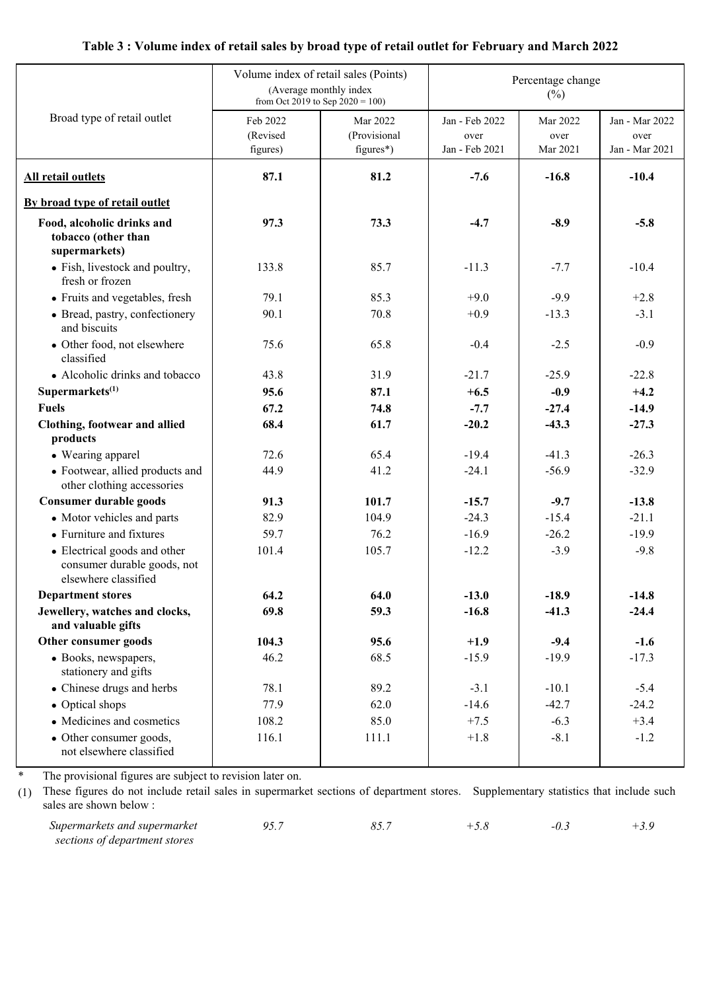## **Table 3 : Volume index of retail sales by broad type of retail outlet for February and March 2022**

|                                                                                     | Volume index of retail sales (Points)<br>(Average monthly index<br>from Oct 2019 to Sep $2020 = 100$ ) |                                         | Percentage change<br>$(\%)$              |                              |                                          |  |  |
|-------------------------------------------------------------------------------------|--------------------------------------------------------------------------------------------------------|-----------------------------------------|------------------------------------------|------------------------------|------------------------------------------|--|--|
| Broad type of retail outlet                                                         | Feb 2022<br>(Revised<br>figures)                                                                       | Mar 2022<br>(Provisional<br>$figures*)$ | Jan - Feb 2022<br>over<br>Jan - Feb 2021 | Mar 2022<br>over<br>Mar 2021 | Jan - Mar 2022<br>over<br>Jan - Mar 2021 |  |  |
| <b>All retail outlets</b>                                                           | 87.1                                                                                                   | 81.2                                    | $-7.6$                                   | $-16.8$                      | $-10.4$                                  |  |  |
| By broad type of retail outlet                                                      |                                                                                                        |                                         |                                          |                              |                                          |  |  |
| Food, alcoholic drinks and<br>tobacco (other than<br>supermarkets)                  | 97.3                                                                                                   | 73.3                                    | $-4.7$                                   | $-8.9$                       | $-5.8$                                   |  |  |
| • Fish, livestock and poultry,<br>fresh or frozen                                   | 133.8                                                                                                  | 85.7                                    | $-11.3$                                  | $-7.7$                       | $-10.4$                                  |  |  |
| • Fruits and vegetables, fresh                                                      | 79.1                                                                                                   | 85.3                                    | $+9.0$                                   | $-9.9$                       | $+2.8$                                   |  |  |
| • Bread, pastry, confectionery<br>and biscuits                                      | 90.1                                                                                                   | 70.8                                    | $+0.9$                                   | $-13.3$                      | $-3.1$                                   |  |  |
| • Other food, not elsewhere<br>classified                                           | 75.6                                                                                                   | 65.8                                    | $-0.4$                                   | $-2.5$                       | $-0.9$                                   |  |  |
| • Alcoholic drinks and tobacco                                                      | 43.8                                                                                                   | 31.9                                    | $-21.7$                                  | $-25.9$                      | $-22.8$                                  |  |  |
| Supermarkets <sup>(1)</sup>                                                         | 95.6                                                                                                   | 87.1                                    | $+6.5$                                   | $-0.9$                       | $+4.2$                                   |  |  |
| <b>Fuels</b>                                                                        | 67.2                                                                                                   | 74.8                                    | $-7.7$                                   | $-27.4$                      | $-14.9$                                  |  |  |
| Clothing, footwear and allied<br>products                                           | 68.4                                                                                                   | 61.7                                    | $-20.2$                                  | $-43.3$                      | $-27.3$                                  |  |  |
| • Wearing apparel                                                                   | 72.6                                                                                                   | 65.4                                    | $-19.4$                                  | $-41.3$                      | $-26.3$                                  |  |  |
| • Footwear, allied products and<br>other clothing accessories                       | 44.9                                                                                                   | 41.2                                    | $-24.1$                                  | $-56.9$                      | $-32.9$                                  |  |  |
| <b>Consumer durable goods</b>                                                       | 91.3                                                                                                   | 101.7                                   | $-15.7$                                  | $-9.7$                       | $-13.8$                                  |  |  |
| • Motor vehicles and parts                                                          | 82.9                                                                                                   | 104.9                                   | $-24.3$                                  | $-15.4$                      | $-21.1$                                  |  |  |
| • Furniture and fixtures                                                            | 59.7                                                                                                   | 76.2                                    | $-16.9$                                  | $-26.2$                      | $-19.9$                                  |  |  |
| • Electrical goods and other<br>consumer durable goods, not<br>elsewhere classified | 101.4                                                                                                  | 105.7                                   | $-12.2$                                  | $-3.9$                       | $-9.8$                                   |  |  |
| <b>Department stores</b>                                                            | 64.2                                                                                                   | 64.0                                    | $-13.0$                                  | $-18.9$                      | $-14.8$                                  |  |  |
| Jewellery, watches and clocks,<br>and valuable gifts                                | 69.8                                                                                                   | 59.3                                    | $-16.8$                                  | $-41.3$                      | $-24.4$                                  |  |  |
| Other consumer goods                                                                | 104.3                                                                                                  | 95.6                                    | $+1.9$                                   | $-9.4$                       | $-1.6$                                   |  |  |
| · Books, newspapers,<br>stationery and gifts                                        | 46.2                                                                                                   | 68.5                                    | $-15.9$                                  | $-19.9$                      | $-17.3$                                  |  |  |
| • Chinese drugs and herbs                                                           | 78.1                                                                                                   | 89.2                                    | $-3.1$                                   | $-10.1$                      | $-5.4$                                   |  |  |
| • Optical shops                                                                     | 77.9                                                                                                   | 62.0                                    | $-14.6$                                  | $-42.7$                      | $-24.2$                                  |  |  |
| • Medicines and cosmetics                                                           | 108.2                                                                                                  | 85.0                                    | $+7.5$                                   | $-6.3$                       | $+3.4$                                   |  |  |
| • Other consumer goods,<br>not elsewhere classified                                 | 116.1                                                                                                  | 111.1                                   | $+1.8$                                   | $-8.1$                       | $-1.2$                                   |  |  |

The provisional figures are subject to revision later on.

\*

(1) These figures do not include retail sales in supermarket sections of department stores. Supplementary statistics that include such sales are shown below :

*Supermarkets and supermarket sections of department stores 95.7 85.7 +5.8 -0.3 +3.9*